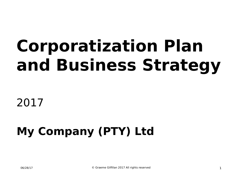# **Corporatization Plan and Business Strategy**

2017

#### **My Company (PTY) Ltd**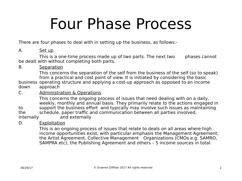# Four Phase Process

There are four phases to deal with in setting up the business, as follows:-

#### A. Set up

This is a one-time process made up of two parts. The next two phases cannot be dealt with without completing both parts.

#### B. Separation

This concerns the separation of the self from the business of the self (so to speak) from a practical and cost point of view. It is initiated by considering the basic business operating structure and applying a cost-up approach as opposed to an income down approach

#### C. Administration & Operations

This concerns the ongoing process of issues that need dealing with on a daily, weekly, monthly and annual basis. They primarily relate to the actions engaged in to support the business effort and typically may involve such issues as maintaining the schedule, paper traffic and communication between all parties involved, internally and externally

#### D. Exploitation

This is an ongoing process of issues that relate to deals on all areas where high income opportunities exist, with particular emphasis the Management Agreement, the Artist Agreement, Collective Management Organizations (CMOs e.g. SAMRO, SAMPRA etc), the Publishing Agreement and others – 5 income sources in total.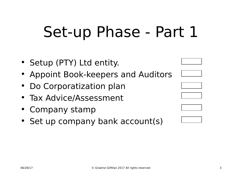# Set-up Phase - Part 1

- Setup (PTY) Ltd entity.
- Appoint Book-keepers and Auditors
- Do Corporatization plan
- Tax Advice/Assessment
- Company stamp
- Set up company bank account(s)











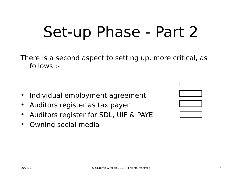# Set-up Phase - Part 2

There is a second aspect to setting up, more critical, as follows :-

- Individual employment agreement
- Auditors register as tax payer
- Auditors register for SDL, UIF & PAYE
- Owning social media



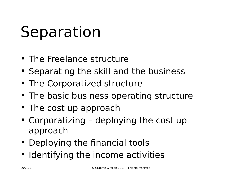# Separation

- The Freelance structure
- Separating the skill and the business
- The Corporatized structure
- The basic business operating structure
- The cost up approach
- Corporatizing deploying the cost up approach
- Deploying the financial tools
- Identifying the income activities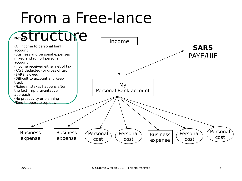## From a Free-lance

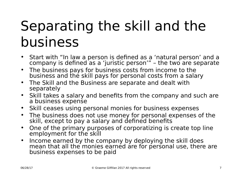### Separating the skill and the business

- Start with "In law a person is defined as a 'natural person' and a company is defined as a 'juristic person'" – the two are separate
- The business pays for business costs from income to the business and the skill pays for personal costs from a salary
- The Skill and the Business are separate and dealt with separately
- Skill takes a salary and benefits from the company and such are a business expense
- Skill ceases using personal monies for business expenses
- The business does not use money for personal expenses of the skill, except to pay a salary and defined benefits
- One of the primary purposes of corporatizing is create top line employment for the skill
- Income earned by the company by deploying the skill does mean that all the monies earned are for personal use, there are business expenses to be paid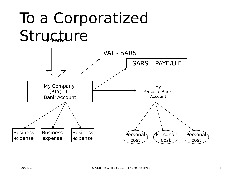# To a Corporatized Structure

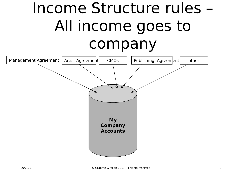# Income Structure rules – All income goes to company

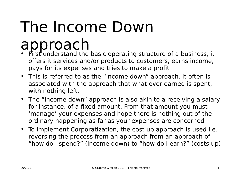# The Income Down

- approach<br>• First understand the basic operating structure of a business, it offers it services and/or products to customers, earns income, pays for its expenses and tries to make a profit
- This is referred to as the "income down" approach. It often is associated with the approach that what ever earned is spent, with nothing left.
- The "income down" approach is also akin to a receiving a salary for instance, of a fixed amount. From that amount you must 'manage' your expenses and hope there is nothing out of the ordinary happening as far as your expenses are concerned
- To implement Corporatization, the cost up approach is used i.e. reversing the process from an approach from an approach of "how do I spend?" (income down) to "how do I earn?" (costs up)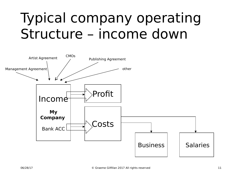### Typical company operating Structure – income down

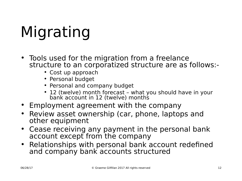# Migrating

- Tools used for the migration from a freelance structure to an corporatized structure are as follows:-
	- Cost up approach
	- Personal budget
	- Personal and company budget
	- 12 (twelve) month forecast what you should have in your bank account in 12 (twelve) months
- Employment agreement with the company
- Review asset ownership (car, phone, laptops and other equipment
- Cease receiving any payment in the personal bank account except from the company
- Relationships with personal bank account redefined and company bank accounts structured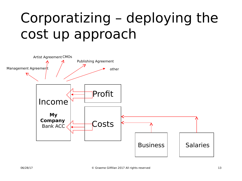### Corporatizing – deploying the cost up approach

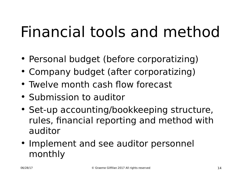# Financial tools and method

- Personal budget (before corporatizing)
- Company budget (after corporatizing)
- Twelve month cash flow forecast
- Submission to auditor
- Set-up accounting/bookkeeping structure, rules, financial reporting and method with auditor
- Implement and see auditor personnel monthly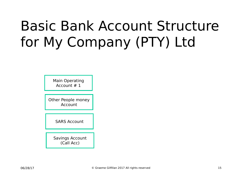### Basic Bank Account Structure for My Company (PTY) Ltd

Main Operating Account # 1

Other People money Account

SARS Account

Savings Account (Call Acc)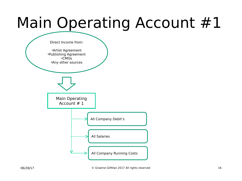# Main Operating Account #1

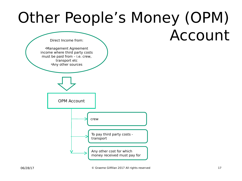### Other People's Money (OPM) Account

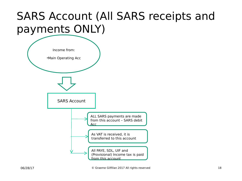#### SARS Account (All SARS receipts and payments ONLY)

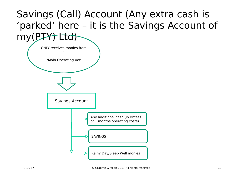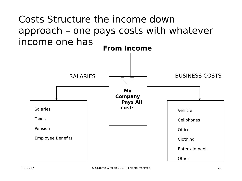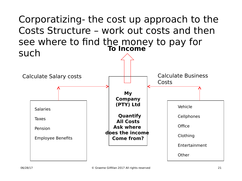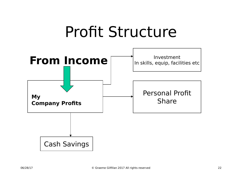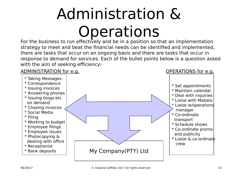# Administration & **Operations**

For the business to run effectively and be in a position so that an implementation strategy to meet and beat the financial needs can be identified and implemented, there are tasks that occur on an ongoing basis and there are tasks that occur in response to demand for services. Each of the bullet points below is a question asked with the aim of seeking efficiency:-

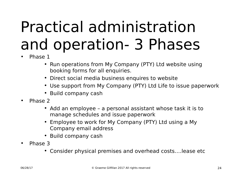# Practical administration and operation- 3 Phases

- Phase 1
	- Run operations from My Company (PTY) Ltd website using booking forms for all enquiries.
	- Direct social media business enquires to website
	- Use support from My Company (PTY) Ltd Life to issue paperwork
	- Build company cash
- Phase 2
	- Add an employee a personal assistant whose task it is to manage schedules and issue paperwork
	- Employee to work for My Company (PTY) Ltd using a My Company email address
	- Build company cash
- Phase 3
	- Consider physical premises and overhead costs….lease etc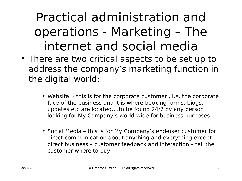#### Practical administration and operations - Marketing – The internet and social media

- There are two critical aspects to be set up to address the company's marketing function in the digital world:
	- Website this is for the corporate customer , i.e. the corporate face of the business and it is where booking forms, biogs, updates etc are located….to be found 24/7 by any person looking for My Company's world-wide for business purposes
	- Social Media this is for My Company's end-user customer for direct communication about anything and everything except direct business – customer feedback and interaction – tell the customer where to buy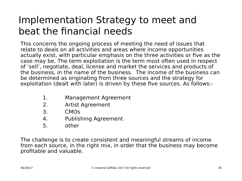#### Implementation Strategy to meet and beat the financial needs

This concerns the ongoing process of meeting the need of issues that relate to deals on all activities and areas where income opportunities actually exist, with particular emphasis on the three activities or five as the case may be. The term exploitation is the term most often used in respect of 'sell', negotiate, deal, license and market the services and products of the business, in the name of the business. The income of the business can be determined as originating from three sources and the strategy for exploitation (dealt with later) is driven by these five sources. As follows:-

- 1. Management Agreement
- 2. Artist Agreement
- 3. CMOs
- 4. Publishing Agreement
- 5. other

The challenge is to create consistent and meaningful streams of income from each source, in the right mix, in order that the business may become profitable and valuable.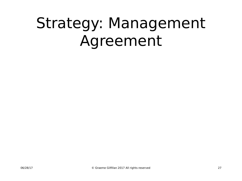# Strategy: Management Agreement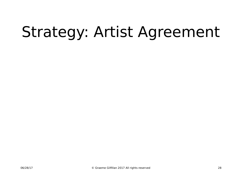# Strategy: Artist Agreement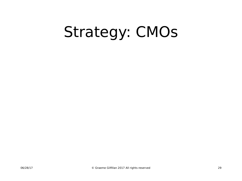# Strategy: CMOs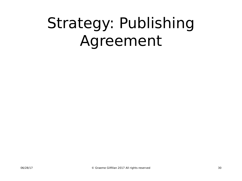# Strategy: Publishing Agreement